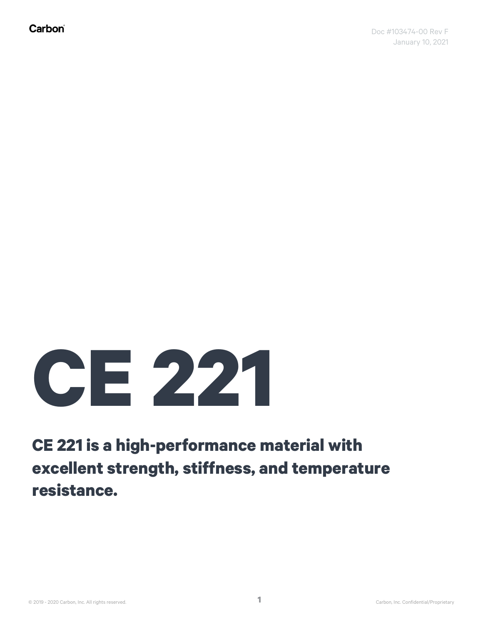## **CE 221**

## **CE 221 is a high-performance material with excellent strength, stiffness, and temperature resistance.**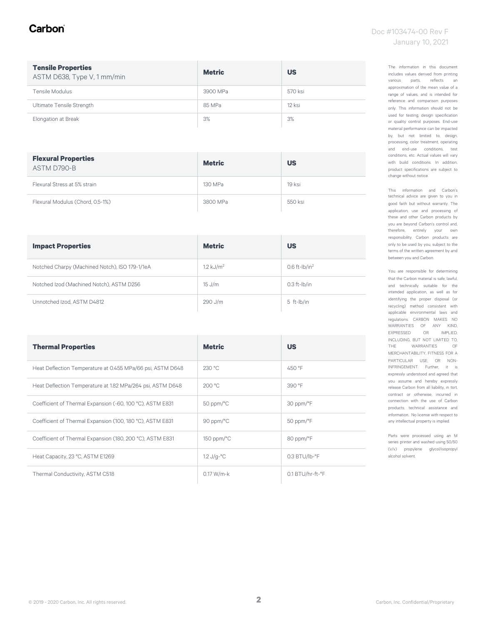#### Carbon

| <b>Tensile Properties</b><br>ASTM D638, Type V, 1 mm/min | <b>Metric</b> | <b>US</b> |
|----------------------------------------------------------|---------------|-----------|
| Tensile Modulus                                          | 3900 MPa      | 570 ksi   |
| Ultimate Tensile Strength                                | 85 MPa        | 12 ksi    |
| Elongation at Break                                      | 3%            | 3%        |

| <b>Flexural Properties</b><br>ASTM D790-B | <b>Metric</b> | <b>US</b> |
|-------------------------------------------|---------------|-----------|
| Flexural Stress at 5% strain              | 130 MPa       | 19 ksi    |
| Flexural Modulus (Chord, 0.5-1%)          | 3800 MPa      | 550 ksi   |

| <b>Impact Properties</b>                       | <b>Metric</b>        | <b>US</b>           |
|------------------------------------------------|----------------------|---------------------|
| Notched Charpy (Machined Notch), ISO 179-1/1eA | $1.2 \text{ kJ/m}^2$ | $0.6$ ft- $lb/in^2$ |
| Notched Izod (Machined Notch), ASTM D256       | $15$ J/m             | $0.3$ ft- $I$ b/in  |
| Unnotched Izod, ASTM D4812                     | 290 J/m              | 5 ft-lb/in          |

| <b>Thermal Properties</b>                                  | <b>Metric</b>               | <b>US</b>                 |
|------------------------------------------------------------|-----------------------------|---------------------------|
| Heat Deflection Temperature at 0.455 MPa/66 psi, ASTM D648 | 230 °C                      | 450 °F                    |
| Heat Deflection Temperature at 1.82 MPa/264 psi, ASTM D648 | 200 °C                      | 390 °F                    |
| Coefficient of Thermal Expansion (-60, 100 °C), ASTM E831  | $50$ ppm/ $\degree$ C       | 30 ppm/°F                 |
| Coefficient of Thermal Expansion (100, 180 °C), ASTM E831  | 90 ppm/°C                   | 50 ppm/°F                 |
| Coefficient of Thermal Expansion (180, 200 °C), ASTM E831  | $150$ ppm/ $\degree$ C      | 80 ppm/°F                 |
| Heat Capacity, 23 °C, ASTM E1269                           | $1.2 \text{ J/g-}^{\circ}C$ | $0.3$ BTU/lb- $\degree$ F |
| Thermal Conductivity, ASTM C518                            | $0.17 W/m-k$                | 0.1 BTU/hr-ft-°F          |

The information in this document includes values derived from printing various parts, reflects an approximation of the mean value of a range of values, and is intended for reference and comparison purposes only. This information should not be used for testing, design specification or quality control purposes. End-use material performance can be impacted by, but not limited to, design, processing, color treatment, operating and end-use conditions, test conditions, etc. Actual values will vary with build conditions. In addition, product specifications are subject to change without notice.

This information and Carbon's technical advice are given to you in good faith but without warranty. The application, use and processing of these and other Carbon products by you are beyond Carbon's control and, therefore, entirely your own responsibility. Carbon products are only to be used by you, subject to the terms of the written agreement by and between you and Carbon.

You are responsible for determining that the Carbon material is safe, lawful, and technically suitable for the intended application, as well as for identifying the proper disposal (or recycling) method consistent with applicable environmental laws and regulations. CARBON MAKES NO WARRANTIES OF ANY KIND, EXPRESSED OR IMPLIED, INCLUDING, BUT NOT LIMITED TO, THE WARRANTIES OF MERCHANTABILITY, FITNESS FOR A PARTICULAR USE, OR NON-INFRINGEMENT. Further, it is expressly understood and agreed that you assume and hereby expressly release Carbon from all liability, in tort, contract or otherwise, incurred in connection with the use of Carbon products, technical assistance and information. No license with respect to any intellectual property is implied.

Parts were processed using an M series printer and washed using 50/50 (v/v) propylene glycol/isopropyl alcohol solvent.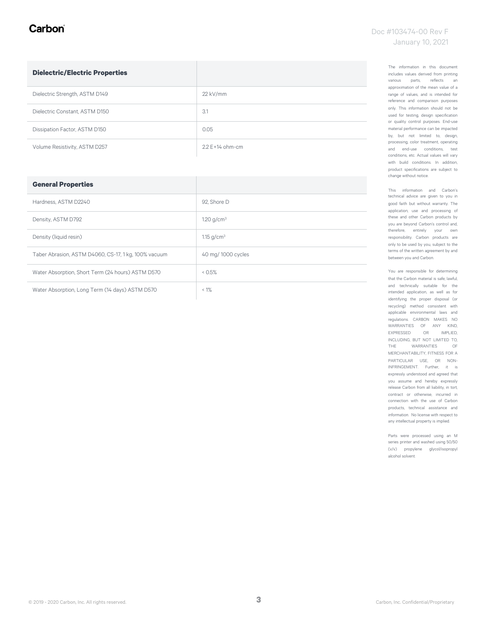#### Carbon

| <b>Dielectric/Electric Properties</b> |                     |
|---------------------------------------|---------------------|
| Dielectric Strength, ASTM D149        | $22$ kV/mm          |
| Dielectric Constant, ASTM D150        | 3.1                 |
| Dissipation Factor, ASTM D150         | 0.05                |
| Volume Resistivity, ASTM D257         | $2.2 F + 14$ ohm-cm |

| <b>General Properties</b>                            |                    |
|------------------------------------------------------|--------------------|
| Hardness, ASTM D2240                                 | 92. Shore D        |
| Density, ASTM D792                                   | 1.20 $q/cm^3$      |
| Density (liquid resin)                               | 1.15 $q/cm^3$      |
| Taber Abrasion, ASTM D4060, CS-17, 1 kg, 100% vacuum | 40 mg/ 1000 cycles |
| Water Absorption, Short Term (24 hours) ASTM D570    | 0.5%               |
| Water Absorption, Long Term (14 days) ASTM D570      | $< 1\%$            |

The information in this document includes values derived from printing various parts, reflects an approximation of the mean value of a range of values, and is intended for reference and comparison purposes only. This information should not be used for testing, design specification or quality control purposes. End-use material performance can be impacted by, but not limited to, design, processing, color treatment, operating and end-use conditions, test conditions, etc. Actual values will vary with build conditions. In addition, product specifications are subject to change without notice.

This information and Carbon's technical advice are given to you in good faith but without warranty. The application, use and processing of these and other Carbon products by you are beyond Carbon's control and, therefore, entirely your own responsibility. Carbon products are only to be used by you, subject to the terms of the written agreement by and between you and Carbon.

You are responsible for determining that the Carbon material is safe, lawful, and technically suitable for the intended application, as well as for identifying the proper disposal (or recycling) method consistent with applicable environmental laws and regulations. CARBON MAKES NO WARRANTIES OF ANY KIND, EXPRESSED OR IMPLIED, INCLUDING, BUT NOT LIMITED TO, THE WARRANTIES OF MERCHANTABILITY, FITNESS FOR A PARTICULAR USE, OR NON-INFRINGEMENT. Further, it is expressly understood and agreed that you assume and hereby expressly release Carbon from all liability, in tort, contract or otherwise, incurred in connection with the use of Carbon products, technical assistance and information. No license with respect to any intellectual property is implied.

Parts were processed using an M series printer and washed using 50/50 (v/v) propylene glycol/isopropyl alcohol solvent.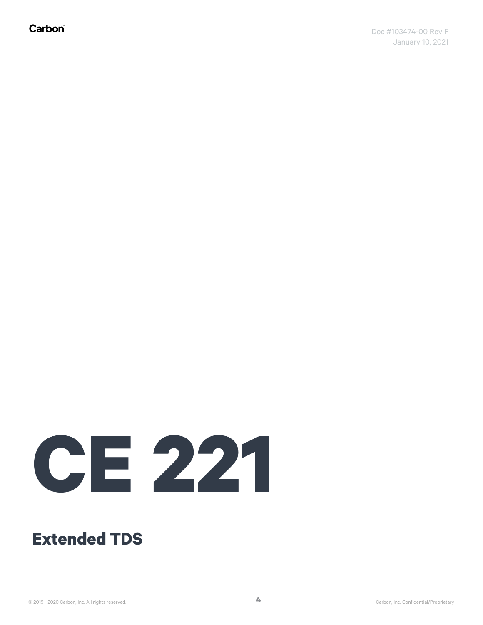Carbon®

# **CE 221**

### **Extended TDS**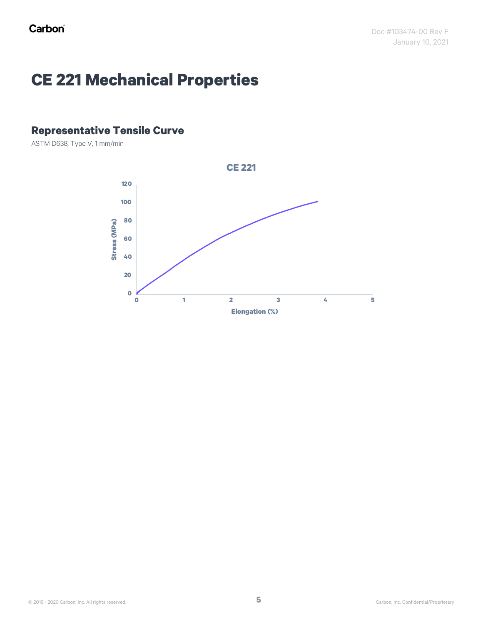## **CE 221 Mechanical Properties**

#### **Representative Tensile Curve**

ASTM D638, Type V, 1 mm/min

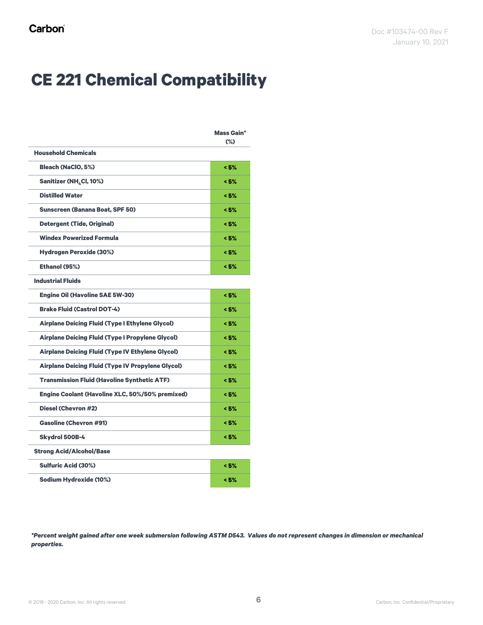## **CE 221 Chemical Compatibility**

|                                                          | <b>Mass Gain*</b><br>$(\%)$ |
|----------------------------------------------------------|-----------------------------|
| <b>Household Chemicals</b>                               |                             |
| <b>Bleach (NaClO, 5%)</b>                                | < 5%                        |
| Sanitizer (NH <sub>4</sub> Cl, 10%)                      | < 5%                        |
| <b>Distilled Water</b>                                   | < 5%                        |
| <b>Sunscreen (Banana Boat, SPF 50)</b>                   | < 5%                        |
| <b>Detergent (Tide, Original)</b>                        | < 5%                        |
| <b>Windex Powerized Formula</b>                          | < 5%                        |
| <b>Hydrogen Peroxide (30%)</b>                           | < 5%                        |
| Ethanol (95%)                                            | < 5%                        |
| <b>Industrial Fluids</b>                                 |                             |
| <b>Engine Oil (Havoline SAE 5W-30)</b>                   | < 5%                        |
| <b>Brake Fluid (Castrol DOT-4)</b>                       | < 5%                        |
| <b>Airplane Deicing Fluid (Type I Ethylene Glycol)</b>   | < 5%                        |
| <b>Airplane Deicing Fluid (Type I Propylene Glycol)</b>  | < 5%                        |
| <b>Airplane Deicing Fluid (Type IV Ethylene Glycol)</b>  | < 5%                        |
| <b>Airplane Deicing Fluid (Type IV Propylene Glycol)</b> | < 5%                        |
| <b>Transmission Fluid (Havoline Synthetic ATF)</b>       | < 5%                        |
| <b>Engine Coolant (Havoline XLC, 50%/50% premixed)</b>   | < 5%                        |
| Diesel (Chevron #2)                                      | < 5%                        |
| <b>Gasoline (Chevron #91)</b>                            | < 5%                        |
| Skydrol 500B-4                                           | < 5%                        |
| <b>Strong Acid/Alcohol/Base</b>                          |                             |
| <b>Sulfuric Acid (30%)</b>                               | < 5%                        |
| Sodium Hydroxide (10%)                                   | < 5%                        |

*\*Percent weight gained after one week submersion following ASTM D543. Values do not represent changes in dimension or mechanical properties.*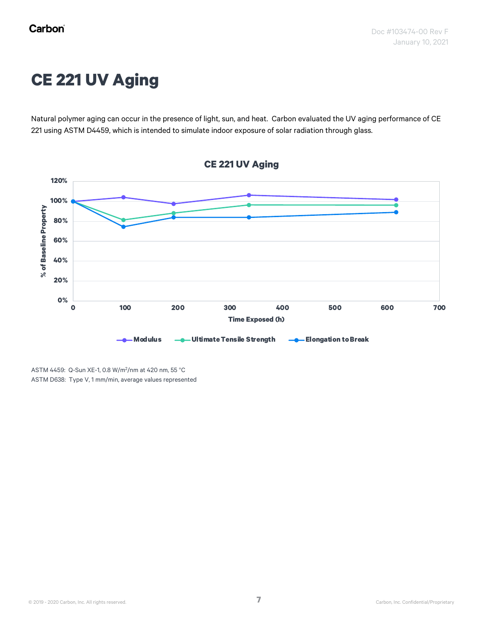## **CE 221 UV Aging**

Natural polymer aging can occur in the presence of light, sun, and heat. Carbon evaluated the UV aging performance of CE 221 using ASTM D4459, which is intended to simulate indoor exposure of solar radiation through glass.



ASTM 4459: Q-Sun XE-1, 0.8 W/m<sup>2</sup> /nm at 420 nm, 55 °C ASTM D638: Type V, 1 mm/min, average values represented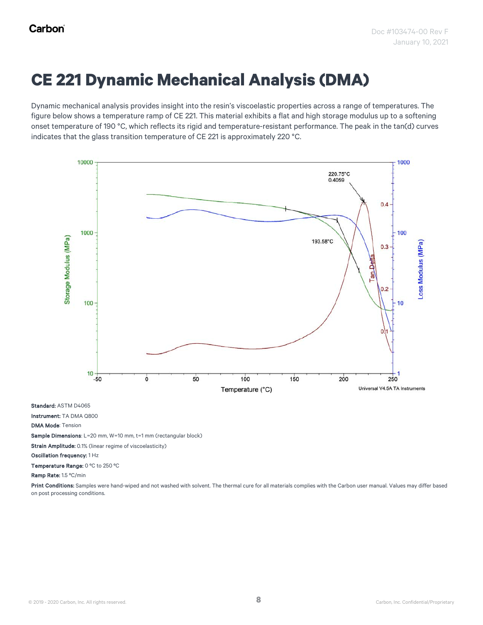## **CE 221 Dynamic Mechanical Analysis (DMA)**

Dynamic mechanical analysis provides insight into the resin's viscoelastic properties across a range of temperatures. The figure below shows a temperature ramp of CE 221. This material exhibits a flat and high storage modulus up to a softening onset temperature of 190 °C, which reflects its rigid and temperature-resistant performance. The peak in the tan(d) curves indicates that the glass transition temperature of CE 221 is approximately 220 °C.



Standard: ASTM D4065

Instrument: TA DMA Q800

DMA Mode: Tension

Sample Dimensions: L=20 mm, W=10 mm, t=1 mm (rectangular block)

Strain Amplitude: 0.1% (linear regime of viscoelasticity)

Oscillation frequency: 1 Hz

Temperature Range: 0 ºC to 250 ºC

Ramp Rate: 1.5 ºC/min

Print Conditions: Samples were hand-wiped and not washed with solvent. The thermal cure for all materials complies with the Carbon user manual. Values may differ based on post processing conditions.